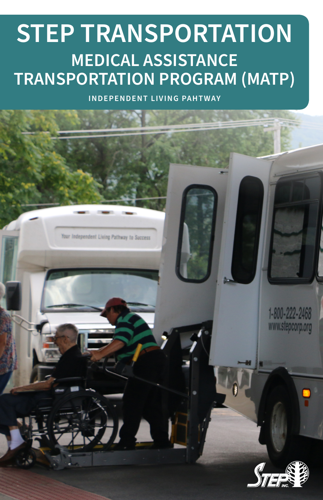# **STEP TRANSPORTATION MEDICAL ASSISTANCE TRANSPORTATION PROGRAM (MATP)**

**INDEPENDENT LIVING PAHTWAY**





1-800-222-2468 www.stepcorp.org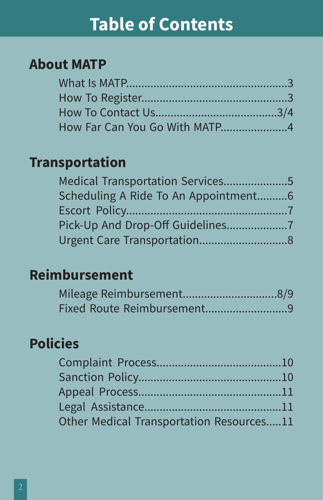## **Table of Contents**

### **About MATP**

### **Transportation**

| Medical Transportation Services5     |  |
|--------------------------------------|--|
| Scheduling A Ride To An Appointment6 |  |
|                                      |  |
|                                      |  |
|                                      |  |

### **Reimbursement**

### **Policies**

| Other Medical Transportation Resources11 |  |
|------------------------------------------|--|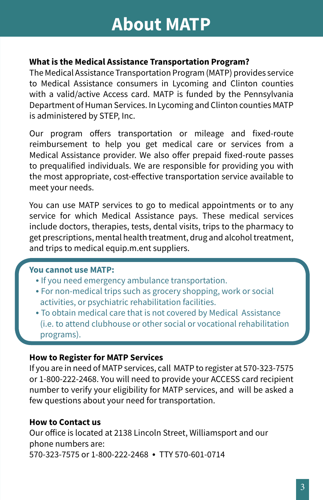#### **What is the Medical Assistance Transportation Program?**

The Medical Assistance Transportation Program (MATP) provides service to Medical Assistance consumers in Lycoming and Clinton counties with a valid/active Access card. MATP is funded by the Pennsylvania Department of Human Services. In Lycoming and Clinton counties MATP is administered by STEP, Inc.

Our program offers transportation or mileage and fixed-route reimbursement to help you get medical care or services from a Medical Assistance provider. We also offer prepaid fixed-route passes to prequalified individuals. We are responsible for providing you with the most appropriate, cost-effective transportation service available to meet your needs.

You can use MATP services to go to medical appointments or to any service for which Medical Assistance pays. These medical services include doctors, therapies, tests, dental visits, trips to the pharmacy to get prescriptions, mental health treatment, drug and alcohol treatment, and trips to medical equip.m.ent suppliers.

#### **You cannot use MATP:**

- **•** If you need emergency ambulance transportation.
- **•** For non-medical trips such as grocery shopping, work or social activities, or psychiatric rehabilitation facilities.
- **•** To obtain medical care that is not covered by Medical Assistance (i.e. to attend clubhouse or other social or vocational rehabilitation programs).

#### **How to Register for MATP Services**

If you are in need of MATP services, call MATP to register at 570-323-7575 or 1-800-222-2468. You will need to provide your ACCESS card recipient number to verify your eligibility for MATP services, and will be asked a few questions about your need for transportation.

#### **How to Contact us**

Our office is located at 2138 Lincoln Street, Williamsport and our phone numbers are: 570-323-7575 or 1-800-222-2468 **•** TTY 570-601-0714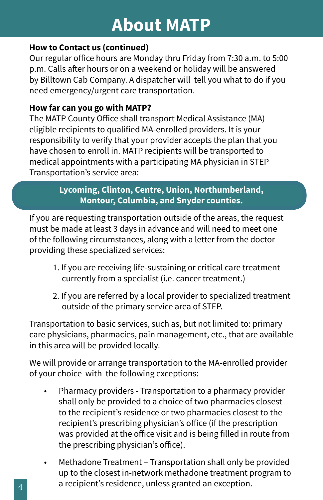### **About MATP**

#### **How to Contact us (continued)**

Our regular office hours are Monday thru Friday from 7:30 a.m. to 5:00 p.m. Calls after hours or on a weekend or holiday will be answered by Billtown Cab Company. A dispatcher will tell you what to do if you need emergency/urgent care transportation.

#### **How far can you go with MATP?**

The MATP County Office shall transport Medical Assistance (MA) eligible recipients to qualified MA-enrolled providers. It is your responsibility to verify that your provider accepts the plan that you have chosen to enroll in. MATP recipients will be transported to medical appointments with a participating MA physician in STEP Transportation's service area:

#### **Lycoming, Clinton, Centre, Union, Northumberland, Montour, Columbia, and Snyder counties.**

If you are requesting transportation outside of the areas, the request must be made at least 3 days in advance and will need to meet one of the following circumstances, along with a letter from the doctor providing these specialized services:

- 1. If you are receiving life-sustaining or critical care treatment currently from a specialist (i.e. cancer treatment.)
- 2. If you are referred by a local provider to specialized treatment outside of the primary service area of STEP.

Transportation to basic services, such as, but not limited to: primary care physicians, pharmacies, pain management, etc., that are available in this area will be provided locally.

We will provide or arrange transportation to the MA-enrolled provider of your choice with the following exceptions:

- Pharmacy providers Transportation to a pharmacy provider shall only be provided to a choice of two pharmacies closest to the recipient's residence or two pharmacies closest to the recipient's prescribing physician's office (if the prescription was provided at the office visit and is being filled in route from the prescribing physician's office).
- Methadone Treatment Transportation shall only be provided up to the closest in-network methadone treatment program to a recipient's residence, unless granted an exception.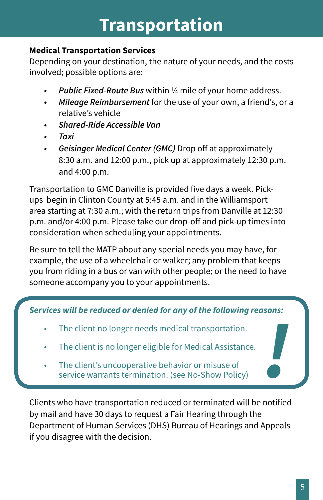## **Transportation**

#### **Medical Transportation Services**

Depending on your destination, the nature of your needs, and the costs involved; possible options are:

- *• Public Fixed-Route Bus* within ¼ mile of your home address.
- *• Mileage Reimbursement* for the use of your own, a friend's, or a relative's vehicle
- *• Shared-Ride Accessible Van*
- *• Taxi*
- *• Geisinger Medical Center (GMC)* Drop off at approximately 8:30 a.m. and 12:00 p.m., pick up at approximately 12:30 p.m. and 4:00 p.m.

Transportation to GMC Danville is provided five days a week. Pickups begin in Clinton County at 5:45 a.m. and in the Williamsport area starting at 7:30 a.m.; with the return trips from Danville at 12:30 p.m. and/or 4:00 p.m. Please take our drop-off and pick-up times into consideration when scheduling your appointments.

Be sure to tell the MATP about any special needs you may have, for example, the use of a wheelchair or walker; any problem that keeps you from riding in a bus or van with other people; or the need to have someone accompany you to your appointments.

*Services will be reduced or denied for any of the following reasons:*

- The client no longer needs medical transportation.
- The client is no longer eligible for Medical Assistance.
- The client's uncooperative behavior or misuse of service warrants termination. (see No-Show Policy)

Clients who have transportation reduced or terminated will be notified by mail and have 30 days to request a Fair Hearing through the Department of Human Services (DHS) Bureau of Hearings and Appeals if you disagree with the decision.

*!*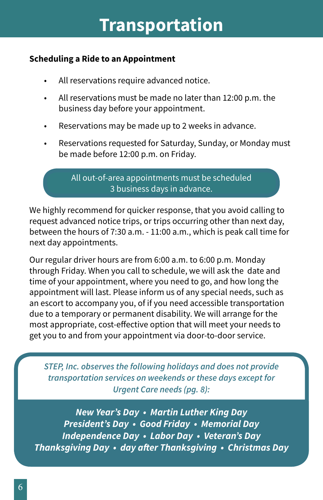## **Transportation**

#### **Scheduling a Ride to an Appointment**

- All reservations require advanced notice.
- All reservations must be made no later than 12:00 p.m. the business day before your appointment.
- Reservations may be made up to 2 weeks in advance.
- Reservations requested for Saturday, Sunday, or Monday must be made before 12:00 p.m. on Friday.

All out-of-area appointments must be scheduled 3 business days in advance.

We highly recommend for quicker response, that you avoid calling to request advanced notice trips, or trips occurring other than next day, between the hours of 7:30 a.m. - 11:00 a.m., which is peak call time for next day appointments.

Our regular driver hours are from 6:00 a.m. to 6:00 p.m. Monday through Friday. When you call to schedule, we will ask the date and time of your appointment, where you need to go, and how long the appointment will last. Please inform us of any special needs, such as an escort to accompany you, of if you need accessible transportation due to a temporary or permanent disability. We will arrange for the most appropriate, cost-effective option that will meet your needs to get you to and from your appointment via door-to-door service.

*STEP, Inc. observes the following holidays and does not provide transportation services on weekends or these days except for Urgent Care needs (pg. 8):*

*New Year's Day • Martin Luther King Day President's Day • Good Friday • Memorial Day Independence Day • Labor Day • Veteran's Day Thanksgiving Day • day after Thanksgiving • Christmas Day*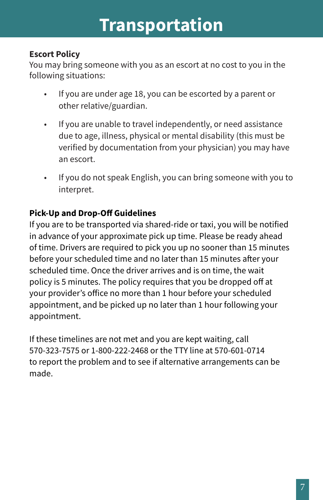## **Transportation**

#### **Escort Policy**

You may bring someone with you as an escort at no cost to you in the following situations:

- If you are under age 18, you can be escorted by a parent or other relative/guardian.
- If you are unable to travel independently, or need assistance due to age, illness, physical or mental disability (this must be verified by documentation from your physician) you may have an escort.
- If you do not speak English, you can bring someone with you to interpret.

#### **Pick-Up and Drop-Off Guidelines**

If you are to be transported via shared-ride or taxi, you will be notified in advance of your approximate pick up time. Please be ready ahead of time. Drivers are required to pick you up no sooner than 15 minutes before your scheduled time and no later than 15 minutes after your scheduled time. Once the driver arrives and is on time, the wait policy is 5 minutes. The policy requires that you be dropped off at your provider's office no more than 1 hour before your scheduled appointment, and be picked up no later than 1 hour following your appointment.

If these timelines are not met and you are kept waiting, call 570-323-7575 or 1-800-222-2468 or the TTY line at 570-601-0714 to report the problem and to see if alternative arrangements can be made.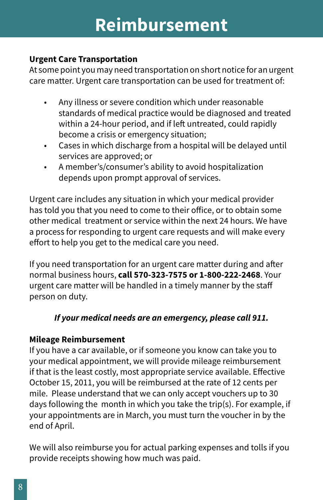## **Reimbursement**

#### **Urgent Care Transportation**

At some point you may need transportation on short notice for an urgent care matter. Urgent care transportation can be used for treatment of:

- Any illness or severe condition which under reasonable standards of medical practice would be diagnosed and treated within a 24-hour period, and if left untreated, could rapidly become a crisis or emergency situation;
- Cases in which discharge from a hospital will be delayed until services are approved; or
- A member's/consumer's ability to avoid hospitalization depends upon prompt approval of services.

Urgent care includes any situation in which your medical provider has told you that you need to come to their office, or to obtain some other medical treatment or service within the next 24 hours. We have a process for responding to urgent care requests and will make every effort to help you get to the medical care you need.

If you need transportation for an urgent care matter during and after normal business hours, **call 570-323-7575 or 1-800-222-2468**. Your urgent care matter will be handled in a timely manner by the staff person on duty.

#### *If your medical needs are an emergency, please call 911.*

#### **Mileage Reimbursement**

If you have a car available, or if someone you know can take you to your medical appointment, we will provide mileage reimbursement if that is the least costly, most appropriate service available. Effective October 15, 2011, you will be reimbursed at the rate of 12 cents per mile. Please understand that we can only accept vouchers up to 30 days following the month in which you take the trip(s). For example, if your appointments are in March, you must turn the voucher in by the end of April.

We will also reimburse you for actual parking expenses and tolls if you provide receipts showing how much was paid.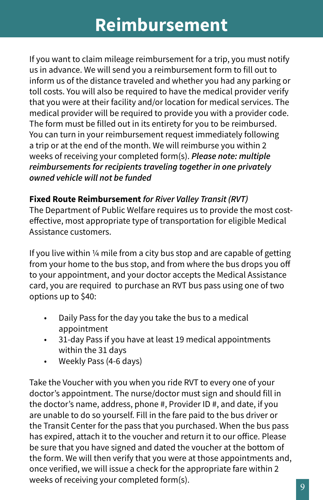## **Reimbursement**

If you want to claim mileage reimbursement for a trip, you must notify us in advance. We will send you a reimbursement form to fill out to inform us of the distance traveled and whether you had any parking or toll costs. You will also be required to have the medical provider verify that you were at their facility and/or location for medical services. The medical provider will be required to provide you with a provider code. The form must be filled out in its entirety for you to be reimbursed. You can turn in your reimbursement request immediately following a trip or at the end of the month. We will reimburse you within 2 weeks of receiving your completed form(s). *Please note: multiple reimbursements for recipients traveling together in one privately owned vehicle will not be funded*

#### **Fixed Route Reimbursement** *for River Valley Transit (RVT)*

The Department of Public Welfare requires us to provide the most costeffective, most appropriate type of transportation for eligible Medical Assistance customers.

If you live within ¼ mile from a city bus stop and are capable of getting from your home to the bus stop, and from where the bus drops you off to your appointment, and your doctor accepts the Medical Assistance card, you are required to purchase an RVT bus pass using one of two options up to \$40:

- Daily Pass for the day you take the bus to a medical appointment
- 31-day Pass if you have at least 19 medical appointments within the 31 days
- Weekly Pass (4-6 days)

Take the Voucher with you when you ride RVT to every one of your doctor's appointment. The nurse/doctor must sign and should fill in the doctor's name, address, phone #, Provider ID #, and date, if you are unable to do so yourself. Fill in the fare paid to the bus driver or the Transit Center for the pass that you purchased. When the bus pass has expired, attach it to the voucher and return it to our office. Please be sure that you have signed and dated the voucher at the bottom of the form. We will then verify that you were at those appointments and, once verified, we will issue a check for the appropriate fare within 2 weeks of receiving your completed form(s).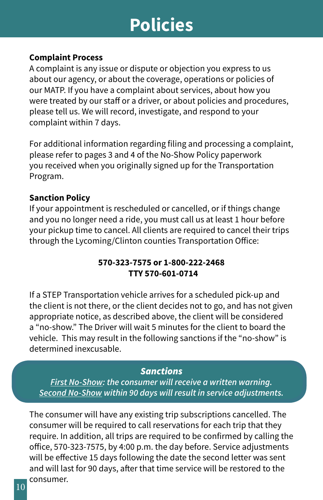## **Policies**

#### **Complaint Process**

A complaint is any issue or dispute or objection you express to us about our agency, or about the coverage, operations or policies of our MATP. If you have a complaint about services, about how you were treated by our staff or a driver, or about policies and procedures, please tell us. We will record, investigate, and respond to your complaint within 7 days.

For additional information regarding filing and processing a complaint, please refer to pages 3 and 4 of the No-Show Policy paperwork you received when you originally signed up for the Transportation Program.

#### **Sanction Policy**

If your appointment is rescheduled or cancelled, or if things change and you no longer need a ride, you must call us at least 1 hour before your pickup time to cancel. All clients are required to cancel their trips through the Lycoming/Clinton counties Transportation Office:

#### **570-323-7575 or 1-800-222-2468 TTY 570-601-0714**

If a STEP Transportation vehicle arrives for a scheduled pick-up and the client is not there, or the client decides not to go, and has not given appropriate notice, as described above, the client will be considered a "no-show." The Driver will wait 5 minutes for the client to board the vehicle. This may result in the following sanctions if the "no-show" is determined inexcusable.

#### *Sanctions*

*First No-Show: the consumer will receive a written warning. Second No-Show within 90 days will result in service adjustments.* 

The consumer will have any existing trip subscriptions cancelled. The consumer will be required to call reservations for each trip that they require. In addition, all trips are required to be confirmed by calling the office, 570-323-7575, by 4:00 p.m. the day before. Service adjustments will be effective 15 days following the date the second letter was sent and will last for 90 days, after that time service will be restored to the consumer.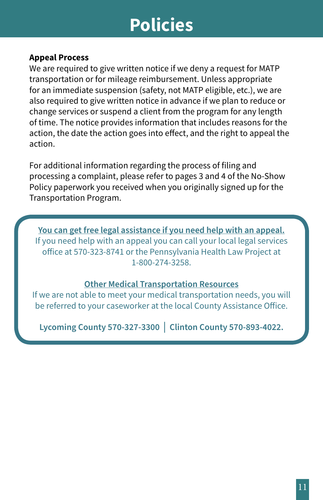## **Policies**

#### **Appeal Process**

We are required to give written notice if we deny a request for MATP transportation or for mileage reimbursement. Unless appropriate for an immediate suspension (safety, not MATP eligible, etc.), we are also required to give written notice in advance if we plan to reduce or change services or suspend a client from the program for any length of time. The notice provides information that includes reasons for the action, the date the action goes into effect, and the right to appeal the action.

For additional information regarding the process of filing and processing a complaint, please refer to pages 3 and 4 of the No-Show Policy paperwork you received when you originally signed up for the Transportation Program.

**You can get free legal assistance if you need help with an appeal.** If you need help with an appeal you can call your local legal services office at 570-323-8741 or the Pennsylvania Health Law Project at 1-800-274-3258.

#### **Other Medical Transportation Resources**

If we are not able to meet your medical transportation needs, you will be referred to your caseworker at the local County Assistance Office.

**Lycoming County 570-327-3300** │ **Clinton County 570-893-4022.**